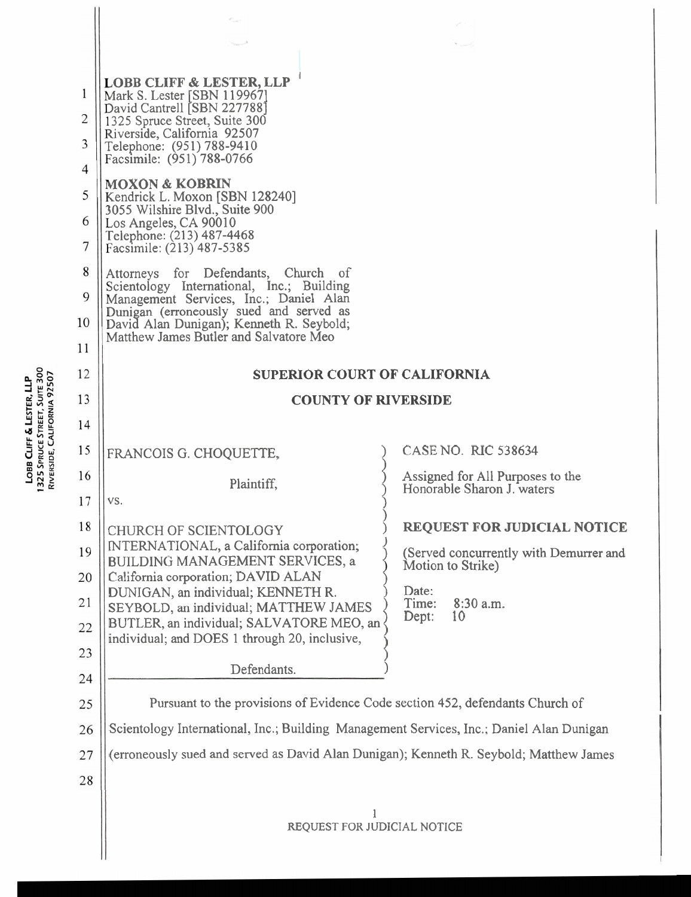| 1                   | <b>LOBB CLIFF &amp; LESTER, LLP</b><br>Mark S. Lester [SBN 119967]<br>David Cantrell [SBN 227788]                                                                                                                                                              |                                                                                              |  |  |  |  |
|---------------------|----------------------------------------------------------------------------------------------------------------------------------------------------------------------------------------------------------------------------------------------------------------|----------------------------------------------------------------------------------------------|--|--|--|--|
| $\overline{c}$      | 1325 Spruce Street, Suite 300<br>Riverside, California 92507                                                                                                                                                                                                   |                                                                                              |  |  |  |  |
| 3<br>$\overline{4}$ | Telephone: (951) 788-9410<br>Facsimile: (951) 788-0766                                                                                                                                                                                                         |                                                                                              |  |  |  |  |
| 5                   | <b>MOXON &amp; KOBRIN</b>                                                                                                                                                                                                                                      |                                                                                              |  |  |  |  |
| 6                   | Kendrick L. Moxon [SBN 128240]<br>3055 Wilshire Blvd., Suite 900<br>Los Angeles, CA 90010                                                                                                                                                                      |                                                                                              |  |  |  |  |
| 7                   | Telephone: (213) 487-4468<br>Facsimile: (213) 487-5385                                                                                                                                                                                                         |                                                                                              |  |  |  |  |
| 8                   | Attorneys for Defendants,<br>Church of<br>Scientology International, Inc.; Building<br>Management Services, Inc.; Daniel Alan<br>Dunigan (erroneously sued and served as<br>David Alan Dunigan); Kenneth R. Seybold;<br>Matthew James Butler and Salvatore Meo |                                                                                              |  |  |  |  |
| 9<br>10             |                                                                                                                                                                                                                                                                |                                                                                              |  |  |  |  |
| 11                  |                                                                                                                                                                                                                                                                |                                                                                              |  |  |  |  |
| 12                  | <b>SUPERIOR COURT OF CALIFORNIA</b>                                                                                                                                                                                                                            |                                                                                              |  |  |  |  |
| 13                  | <b>COUNTY OF RIVERSIDE</b>                                                                                                                                                                                                                                     |                                                                                              |  |  |  |  |
| 14                  |                                                                                                                                                                                                                                                                |                                                                                              |  |  |  |  |
| 15                  | FRANCOIS G. CHOQUETTE,                                                                                                                                                                                                                                         | CASE NO. RIC 538634                                                                          |  |  |  |  |
| 16                  | Plaintiff,                                                                                                                                                                                                                                                     | Assigned for All Purposes to the<br>Honorable Sharon J. waters                               |  |  |  |  |
| 17                  | VS.                                                                                                                                                                                                                                                            |                                                                                              |  |  |  |  |
| 18                  | CHURCH OF SCIENTOLOGY<br>INTERNATIONAL, a California corporation;                                                                                                                                                                                              | <b>REQUEST FOR JUDICIAL NOTICE</b>                                                           |  |  |  |  |
| 19                  | BUILDING MANAGEMENT SERVICES, a                                                                                                                                                                                                                                | (Served concurrently with Demurrer and<br>Motion to Strike)<br>Date:<br>Time:<br>$8:30$ a.m. |  |  |  |  |
| 20<br>21            | California corporation; DAVID ALAN<br>DUNIGAN, an individual; KENNETH R.                                                                                                                                                                                       |                                                                                              |  |  |  |  |
| 22                  | SEYBOLD, an individual; MATTHEW JAMES<br>BUTLER, an individual; SALVATORE MEO, an                                                                                                                                                                              | Dept:<br>10                                                                                  |  |  |  |  |
| 23                  | individual; and DOES 1 through 20, inclusive,                                                                                                                                                                                                                  |                                                                                              |  |  |  |  |
| 24                  | Defendants.                                                                                                                                                                                                                                                    |                                                                                              |  |  |  |  |
| 25                  | Pursuant to the provisions of Evidence Code section 452, defendants Church of                                                                                                                                                                                  |                                                                                              |  |  |  |  |
| 26                  | Scientology International, Inc.; Building Management Services, Inc.; Daniel Alan Dunigan                                                                                                                                                                       |                                                                                              |  |  |  |  |
| 27                  | (erroneously sued and served as David Alan Dunigan); Kenneth R. Seybold; Matthew James                                                                                                                                                                         |                                                                                              |  |  |  |  |
| 28                  |                                                                                                                                                                                                                                                                |                                                                                              |  |  |  |  |
|                     |                                                                                                                                                                                                                                                                |                                                                                              |  |  |  |  |
|                     | REQUEST FOR JUDICIAL NOTICE                                                                                                                                                                                                                                    |                                                                                              |  |  |  |  |
|                     |                                                                                                                                                                                                                                                                |                                                                                              |  |  |  |  |

LOBB CLIFF & LESTER, LLP<br>1325 Spruce Street, Suite 300<br>Riverside, California 92507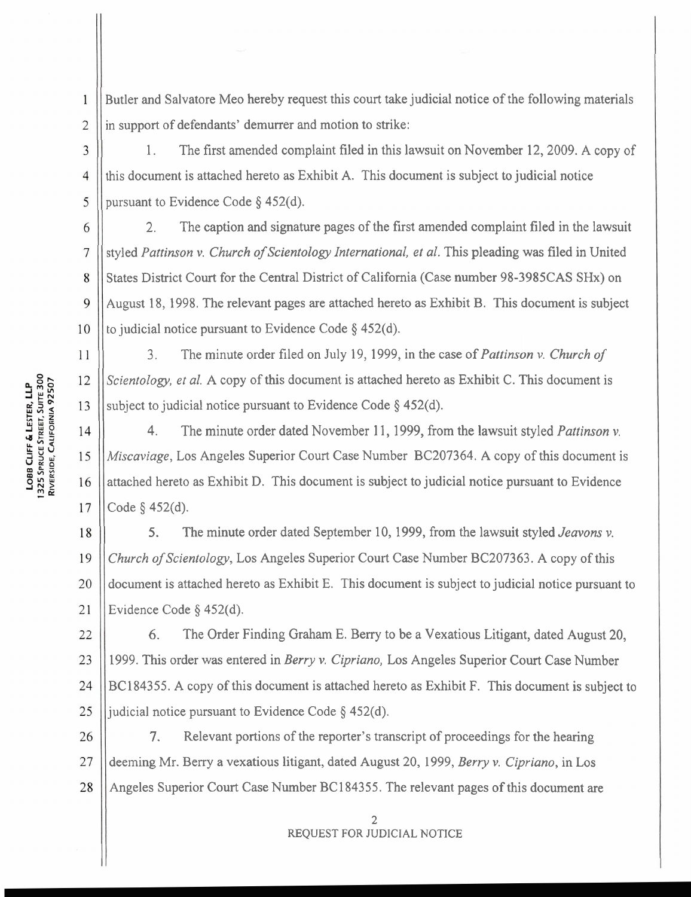Butler and Salvatore Meo hereby request this court take judicial notice of the following materials in support of defendants' demurrer and motion to strike:

1. The first amended complaint filed in this lawsuit on November 12,2009. A copy of this document is attached hereto as Exhibit A. This document is subject to judicial notice pursuant to Evidence Code  $\S$  452(d).

6 2. The caption and signature pages of the first amended complaint filed in the lawsuit styled Pattinson v. Church of Scientology International, et al. This pleading was filed in United  $\overline{7}$ States District Court for the Central District of California (Case number 98-3985CAS SHx) on 8 August 18, 1998. The relevant pages are attached hereto as Exhibit B. This document is subject  $\mathbf Q$ to judicial notice pursuant to Evidence Code  $\S$  452(d). 10

3. The minute order filed on July 19, 1999, in the case of Pattinson v. Church of Scientology, et al. A copy of this document is attached hereto as Exhibit C. This document is subject to judicial notice pursuant to Evidence Code  $\S$  452(d).

4. The minute order dated November 11, 1999, from the lawsuit styled *Pattinson v*.  $14$ Miscaviage, Los Angeles Superior Court Case Number BC207364. A copy of this document is 15 attached hereto as Exhibit D. This document is subject to judicial notice pursuant to Evidence 16 Code  $\S$  452(d). 17

5. The minute order dated September 10, 1999, from the lawsuit styled *Jeavons v*. 18 Church of Scientology, Los Angeles Superior Court Case Number BC207363. A copy of this 19 document is attached hereto as Exhibit E. This document is subject to judicial notice pursuant to 20 Evidence Code § 452(d). 21

*6.* The Order Finding Graham E. Berry to be a Vexatious Litigant, dated August 20, 22 23 1999. This order was entered in Berry v. Cipriano, Los Angeles Superior Court Case Number 24 BC184355. A copy of this document is attached hereto as Exhibit F. This document is subject to judicial notice pursuant to Evidence Code  $\S$  452(d). 25

26 7. Relevant portions of the reporter's transcript of proceedings for the hearing deeming Mr. Berry a vexatious litigant, dated August 20, 1999, Berry v. Cipriano, in Los 27 Angeles Superior Court Case Number BC 184355. The relevant pages of this document are 28

> 2 REQUEST FOR **JUDICIAL** NOTICE

 $\mathbf{1}$ 

 $\overline{2}$ 

3

 $\overline{4}$ 

5

11

12

13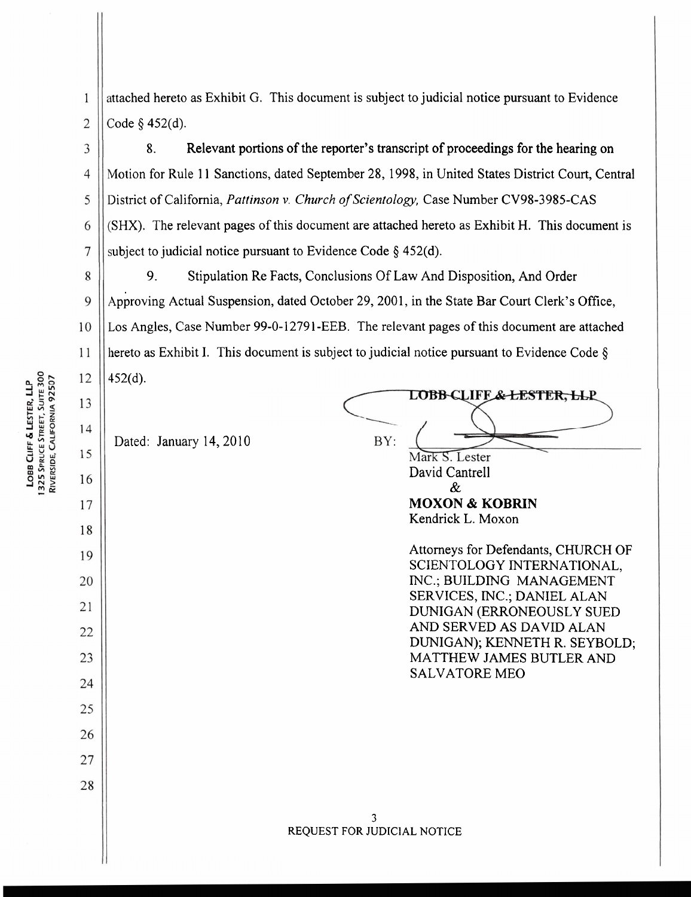ttached hereto as Exhibit G. This document is subject to judicial notice pursuant to Evidence  $\mathbf{1}$  $\overline{2}$ :ode *5* 452(d).

8. Relevant portions of the reporter's transcript of proceedings for the hearing on Motion for Rule 11 Sanctions, dated September 28, 1998, in United States District Court, Central District of California, *Pattinson v. Church of Scientology*, Case Number CV98-3985-CAS SHX). The relevant pages of this document are attached hereto as Exhibit H. This document is ubject to judicial notice pursuant to Evidence Code *5* 452(d).

8 9. Stipulation Re Facts, Conclusions Of Law And Disposition, And Order 9 Approving Actual Suspension, dated October 29, 2001, in the State Bar Court Clerk's Office, 10 Los Angles, Case Number 99-0-12791-EEB. The relevant pages of this document are attached lereto as Exhibit I. This document is subject to judicial notice pursuant to Evidence Code *5*  11 12 152(d).

Dated: January 14, 2010

LOBB-CLIFF<del>.& LESTER, LL</del>P. BY: Mark S. Lester David Cantrell &

**MOXON** & **KOBRIN**  Kendrick L. Moxon

Attorneys for Defendants, CHURCH OF SCIENTOLOGY INTERNATIONAL, INC.; BUILDING MANAGEMENT SERVICES, INC.; DANIEL ALAN DUNIGAN (ERRONEOUSLY SUED AND SERVED AS DAVID ALAN DUNIGAN); KENNETH R. SEYBOLD; MATTHEW JAMES BUTLER AND SALVATORE ME0

1325 SPRUCE STREET, SUITE 300<br>RIVERSIDE, CALIFORNIA 92507 LOBB CLIFF & LESTER, LLP

3

 $\overline{4}$ 

5

6

 $\overline{7}$ 

13

14

15

16

17

18

19

20

21

22

23

24

25

26

27

28